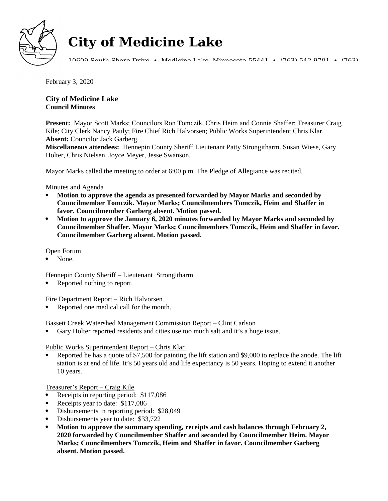

# **City of Medicine Lake**

10609 South Shore Drive • Medicine Lake, Minnesota 55441 • (763) 542-9701 • (763)

February 3, 2020

**City of Medicine Lake Council Minutes** 

**Present:** Mayor Scott Marks; Councilors Ron Tomczik, Chris Heim and Connie Shaffer; Treasurer Craig Kile; City Clerk Nancy Pauly; Fire Chief Rich Halvorsen; Public Works Superintendent Chris Klar. **Absent:** Councilor Jack Garberg.

**Miscellaneous attendees:** Hennepin County Sheriff Lieutenant Patty Strongitharm. Susan Wiese, Gary Holter, Chris Nielsen, Joyce Meyer, Jesse Swanson.

Mayor Marks called the meeting to order at 6:00 p.m. The Pledge of Allegiance was recited.

# Minutes and Agenda

- **Motion to approve the agenda as presented forwarded by Mayor Marks and seconded by Councilmember Tomczik. Mayor Marks; Councilmembers Tomczik, Heim and Shaffer in favor. Councilmember Garberg absent. Motion passed.**
- **Motion to approve the January 6, 2020 minutes forwarded by Mayor Marks and seconded by Councilmember Shaffer. Mayor Marks; Councilmembers Tomczik, Heim and Shaffer in favor. Councilmember Garberg absent. Motion passed.**

# Open Forum

None.

Hennepin County Sheriff – Lieutenant Strongitharm

Reported nothing to report.

# Fire Department Report – Rich Halvorsen

Reported one medical call for the month.

Bassett Creek Watershed Management Commission Report – Clint Carlson

Gary Holter reported residents and cities use too much salt and it's a huge issue.

# Public Works Superintendent Report – Chris Klar

 Reported he has a quote of \$7,500 for painting the lift station and \$9,000 to replace the anode. The lift station is at end of life. It's 50 years old and life expectancy is 50 years. Hoping to extend it another 10 years.

# Treasurer's Report – Craig Kile

- Receipts in reporting period: \$117,086
- Receipts year to date: \$117,086
- Disbursements in reporting period: \$28,049
- Disbursements year to date: \$33,722
- **Motion to approve the summary spending, receipts and cash balances through February 2, 2020 forwarded by Councilmember Shaffer and seconded by Councilmember Heim. Mayor Marks; Councilmembers Tomczik, Heim and Shaffer in favor. Councilmember Garberg absent. Motion passed.**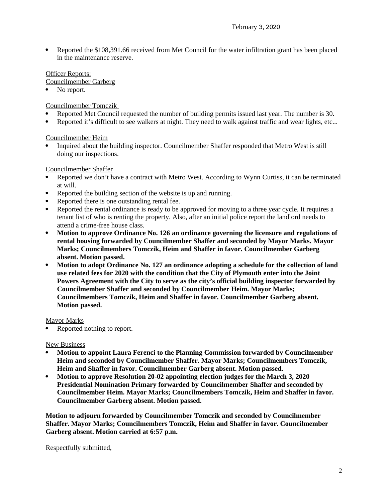Reported the \$108,391.66 received from Met Council for the water infiltration grant has been placed in the maintenance reserve.

# Officer Reports:

- Councilmember Garberg
- No report.

Councilmember Tomczik

- Reported Met Council requested the number of building permits issued last year. The number is 30.
- Reported it's difficult to see walkers at night. They need to walk against traffic and wear lights, etc...

Councilmember Heim

 Inquired about the building inspector. Councilmember Shaffer responded that Metro West is still doing our inspections.

## Councilmember Shaffer

- Reported we don't have a contract with Metro West. According to Wynn Curtiss, it can be terminated at will.
- Reported the building section of the website is up and running.
- Reported there is one outstanding rental fee.
- Reported the rental ordinance is ready to be approved for moving to a three year cycle. It requires a tenant list of who is renting the property. Also, after an initial police report the landlord needs to attend a crime-free house class.
- **Motion to approve Ordinance No. 126 an ordinance governing the licensure and regulations of rental housing forwarded by Councilmember Shaffer and seconded by Mayor Marks. Mayor Marks; Councilmembers Tomczik, Heim and Shaffer in favor. Councilmember Garberg absent. Motion passed.**
- **Motion to adopt Ordinance No. 127 an ordinance adopting a schedule for the collection of land use related fees for 2020 with the condition that the City of Plymouth enter into the Joint Powers Agreement with the City to serve as the city's official building inspector forwarded by Councilmember Shaffer and seconded by Councilmember Heim. Mayor Marks; Councilmembers Tomczik, Heim and Shaffer in favor. Councilmember Garberg absent. Motion passed.**

### Mayor Marks

Reported nothing to report.

### **New Business**

- **Motion to appoint Laura Ferenci to the Planning Commission forwarded by Councilmember Heim and seconded by Councilmember Shaffer. Mayor Marks; Councilmembers Tomczik, Heim and Shaffer in favor. Councilmember Garberg absent. Motion passed.**
- **Motion to approve Resolution 20-02 appointing election judges for the March 3, 2020 Presidential Nomination Primary forwarded by Councilmember Shaffer and seconded by Councilmember Heim. Mayor Marks; Councilmembers Tomczik, Heim and Shaffer in favor. Councilmember Garberg absent. Motion passed.**

**Motion to adjourn forwarded by Councilmember Tomczik and seconded by Councilmember Shaffer. Mayor Marks; Councilmembers Tomczik, Heim and Shaffer in favor. Councilmember Garberg absent. Motion carried at 6:57 p.m.**

Respectfully submitted,